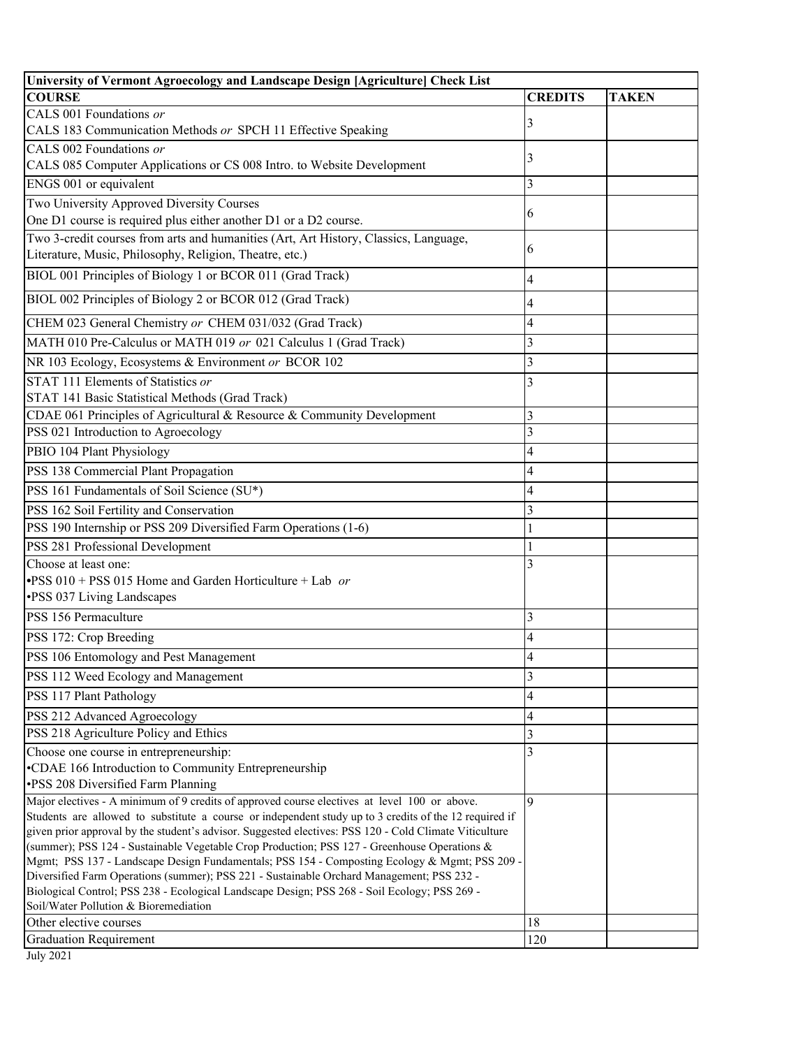| University of Vermont Agroecology and Landscape Design [Agriculture] Check List                                                                                                                        |                         |              |
|--------------------------------------------------------------------------------------------------------------------------------------------------------------------------------------------------------|-------------------------|--------------|
| <b>COURSE</b>                                                                                                                                                                                          | <b>CREDITS</b>          | <b>TAKEN</b> |
| CALS 001 Foundations or                                                                                                                                                                                | 3                       |              |
| CALS 183 Communication Methods or SPCH 11 Effective Speaking                                                                                                                                           |                         |              |
| CALS 002 Foundations or                                                                                                                                                                                | 3                       |              |
| CALS 085 Computer Applications or CS 008 Intro. to Website Development                                                                                                                                 |                         |              |
| ENGS 001 or equivalent                                                                                                                                                                                 | $\overline{\mathbf{3}}$ |              |
| Two University Approved Diversity Courses                                                                                                                                                              |                         |              |
| One D1 course is required plus either another D1 or a D2 course.                                                                                                                                       | 6                       |              |
| Two 3-credit courses from arts and humanities (Art, Art History, Classics, Language,                                                                                                                   |                         |              |
| Literature, Music, Philosophy, Religion, Theatre, etc.)                                                                                                                                                | 6                       |              |
| BIOL 001 Principles of Biology 1 or BCOR 011 (Grad Track)                                                                                                                                              | 4                       |              |
| BIOL 002 Principles of Biology 2 or BCOR 012 (Grad Track)                                                                                                                                              | 4                       |              |
| CHEM 023 General Chemistry or CHEM 031/032 (Grad Track)                                                                                                                                                | 4                       |              |
| MATH 010 Pre-Calculus or MATH 019 or 021 Calculus 1 (Grad Track)                                                                                                                                       | 3                       |              |
| NR 103 Ecology, Ecosystems & Environment or BCOR 102                                                                                                                                                   | 3                       |              |
| STAT 111 Elements of Statistics or                                                                                                                                                                     | 3                       |              |
| STAT 141 Basic Statistical Methods (Grad Track)                                                                                                                                                        |                         |              |
| CDAE 061 Principles of Agricultural & Resource & Community Development                                                                                                                                 | 3                       |              |
| PSS 021 Introduction to Agroecology                                                                                                                                                                    | $\overline{\mathbf{3}}$ |              |
| PBIO 104 Plant Physiology                                                                                                                                                                              | 4                       |              |
| PSS 138 Commercial Plant Propagation                                                                                                                                                                   | 4                       |              |
| PSS 161 Fundamentals of Soil Science (SU*)                                                                                                                                                             | 4                       |              |
|                                                                                                                                                                                                        |                         |              |
| PSS 162 Soil Fertility and Conservation                                                                                                                                                                | 3                       |              |
| PSS 190 Internship or PSS 209 Diversified Farm Operations (1-6)                                                                                                                                        |                         |              |
| PSS 281 Professional Development                                                                                                                                                                       |                         |              |
| Choose at least one:                                                                                                                                                                                   | 3                       |              |
| •PSS 010 + PSS 015 Home and Garden Horticulture + Lab or<br>•PSS 037 Living Landscapes                                                                                                                 |                         |              |
|                                                                                                                                                                                                        |                         |              |
| PSS 156 Permaculture                                                                                                                                                                                   | 3                       |              |
| PSS 172: Crop Breeding                                                                                                                                                                                 | 4                       |              |
| PSS 106 Entomology and Pest Management                                                                                                                                                                 | 4                       |              |
| PSS 112 Weed Ecology and Management                                                                                                                                                                    | 3                       |              |
| PSS 117 Plant Pathology                                                                                                                                                                                | 4                       |              |
| PSS 212 Advanced Agroecology                                                                                                                                                                           | 4                       |              |
| PSS 218 Agriculture Policy and Ethics                                                                                                                                                                  | 3                       |              |
| Choose one course in entrepreneurship:                                                                                                                                                                 | 3                       |              |
| •CDAE 166 Introduction to Community Entrepreneurship                                                                                                                                                   |                         |              |
| ·PSS 208 Diversified Farm Planning                                                                                                                                                                     |                         |              |
| Major electives - A minimum of 9 credits of approved course electives at level 100 or above.                                                                                                           | $\mathbf Q$             |              |
| Students are allowed to substitute a course or independent study up to 3 credits of the 12 required if                                                                                                 |                         |              |
| given prior approval by the student's advisor. Suggested electives: PSS 120 - Cold Climate Viticulture<br>(summer); PSS 124 - Sustainable Vegetable Crop Production; PSS 127 - Greenhouse Operations & |                         |              |
| Mgmt; PSS 137 - Landscape Design Fundamentals; PSS 154 - Composting Ecology & Mgmt; PSS 209 -                                                                                                          |                         |              |
| Diversified Farm Operations (summer); PSS 221 - Sustainable Orchard Management; PSS 232 -                                                                                                              |                         |              |
| Biological Control; PSS 238 - Ecological Landscape Design; PSS 268 - Soil Ecology; PSS 269 -                                                                                                           |                         |              |
| Soil/Water Pollution & Bioremediation                                                                                                                                                                  |                         |              |
| Other elective courses                                                                                                                                                                                 | 18                      |              |
| <b>Graduation Requirement</b>                                                                                                                                                                          | 120                     |              |

July 2021